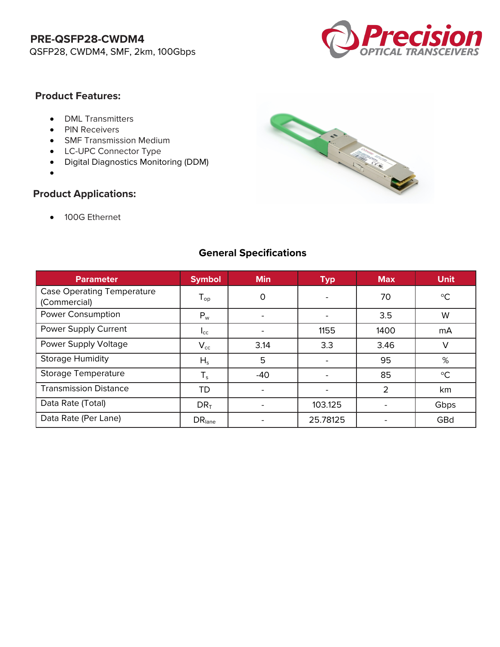

#### **Product Features:**

- DML Transmitters
- PIN Receivers
- SMF Transmission Medium
- LC-UPC Connector Type
- Digital Diagnostics Monitoring (DDM)
- •

### **Product Applications:**

• 100G Ethernet



### **General Specifications**

| <b>Parameter</b>                                  | <b>Symbol</b>      | <b>Min</b> | <b>Typ</b> | <b>Max</b> | <b>Unit</b>     |
|---------------------------------------------------|--------------------|------------|------------|------------|-----------------|
| <b>Case Operating Temperature</b><br>(Commercial) | $T_{op}$           | 0          |            | 70         | $\rm ^{\circ}C$ |
| <b>Power Consumption</b>                          | $P_w$              |            |            | 3.5        | W               |
| Power Supply Current                              | $I_{\text{CC}}$    |            | 1155       | 1400       | mA              |
| Power Supply Voltage                              | $V_{cc}$           | 3.14       | 3.3        | 3.46       | $\vee$          |
| <b>Storage Humidity</b>                           | $H_s$              | 5          |            | 95         | %               |
| <b>Storage Temperature</b>                        | $T_s$              | $-40$      |            | 85         | $\rm ^{\circ}C$ |
| <b>Transmission Distance</b>                      | <b>TD</b>          |            |            | 2          | km              |
| Data Rate (Total)                                 | $DR_T$             |            | 103.125    |            | Gbps            |
| Data Rate (Per Lane)                              | DR <sub>lane</sub> |            | 25.78125   |            | GBd             |